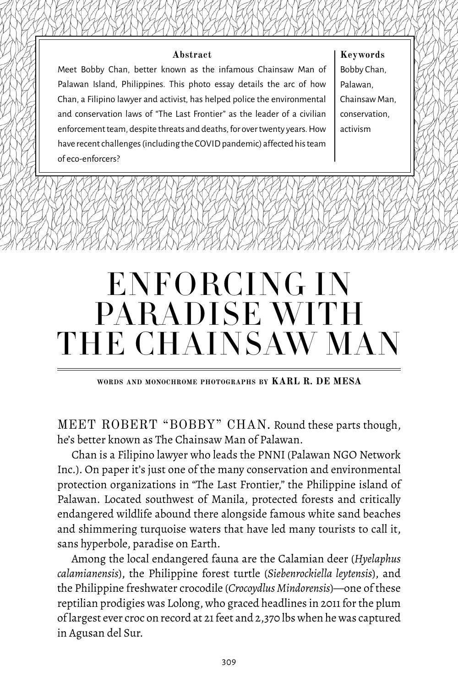#### **Abstract**

Meet Bobby Chan, better known as the infamous Chainsaw Man of Palawan Island, Philippines. This photo essay details the arc of how Chan, a Filipino lawyer and activist, has helped police the environmental and conservation laws of "The Last Frontier" as the leader of a civilian enforcement team, despite threats and deaths, for over twenty years. How have recent challenges (including the COVID pandemic) affected his team of eco-enforcers?

**Keywords**  Bobby Chan, Palawan, Chainsaw Man, conservation, activism

# ENFORCING IN PARADISE WITH THE CHAINSAW MAN

**words and monochrome photographs by KARL R. DE MESA**

MEET ROBERT "BOBBY" CHAN. Round these parts though, he's better known as The Chainsaw Man of Palawan.

Chan is a Filipino lawyer who leads the PNNI (Palawan NGO Network Inc.). On paper it's just one of the many conservation and environmental protection organizations in "The Last Frontier," the Philippine island of Palawan. Located southwest of Manila, [protected forests and critically](https://pkp.pcsd.gov.ph/images/pdf/Species/PCSD Resolution No. 10-413 optimized.pdf) [endangered wildlife](https://pkp.pcsd.gov.ph/images/pdf/Species/PCSD Resolution No. 10-413 optimized.pdf) abound there alongside famous white sand beaches and shimmering turquoise waters that have led many tourists to call it, sans hyperbole, paradise on Earth.

Among the local endangered fauna are the Calamian deer (*Hyelaphus calamianensis*), the Philippine forest turtle (*Siebenrockiella leytensis*), and the Philippine freshwater crocodile (*Crocoydlus Mindorensis*)—one of these reptilian prodigies was Lolong, who graced headlines in 2011 for the plum of largest ever croc on record at 21 feet and 2,370 lbs when he was captured in Agusan del Sur.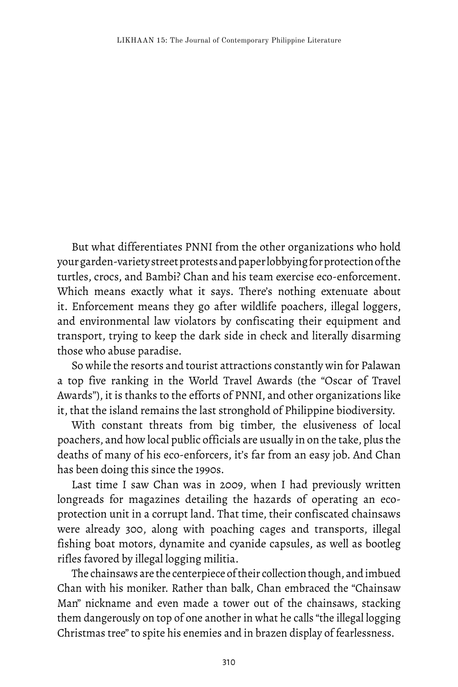But what differentiates PNNI from the other organizations who hold your garden-variety street protests and paper lobbying for protection of the turtles, crocs, and Bambi? Chan and his team exercise eco-enforcement. Which means exactly what it says. There's nothing extenuate about it. Enforcement means they go after wildlife poachers, illegal loggers, and environmental law violators by confiscating their equipment and transport, trying to keep the dark side in check and literally disarming those who abuse paradise.

So while the resorts and tourist attractions constantly win for Palawan a top five ranking in the World Travel Awards (the "Oscar of Travel Awards"), it is thanks to the efforts of PNNI, and other organizations like it, that the island remains the last stronghold of Philippine biodiversity.

With constant threats from big timber, the elusiveness of local poachers, and how local public officials are usually in on the take, plus the deaths of many of his eco-enforcers, it's far from an easy job. And Chan has been doing this since the 1990s.

Last time I saw Chan was in 2009, when I had previously written longreads for magazines detailing the hazards of operating an ecoprotection unit in a corrupt land. That time, their confiscated chainsaws were already 300, along with poaching cages and transports, illegal fishing boat motors, dynamite and cyanide capsules, as well as bootleg rifles favored by illegal logging militia.

The chainsaws are the centerpiece of their collection though, and imbued Chan with his moniker. Rather than balk, Chan embraced the "Chainsaw Man" nickname and even made a tower out of the chainsaws, stacking them dangerously on top of one another in what he calls "the illegal logging Christmas tree" to spite his enemies and in brazen display of fearlessness.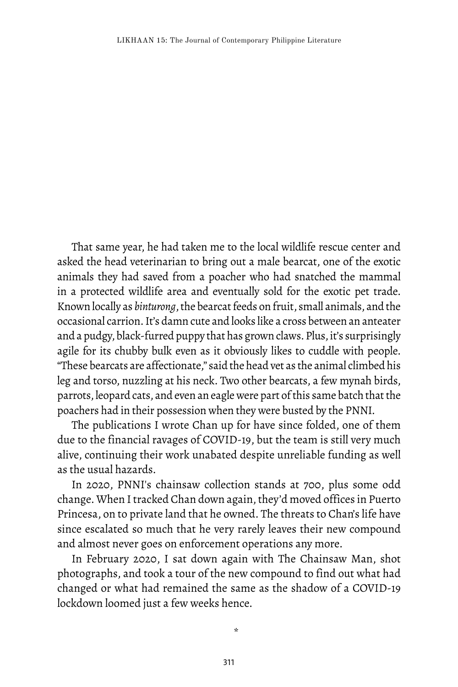That same year, he had taken me to the local wildlife rescue center and asked the head veterinarian to bring out a male bearcat, one of the exotic animals they had saved from a poacher who had snatched the mammal in a protected wildlife area and eventually sold for the exotic pet trade. Known locally as *binturong*, the bearcat feeds on fruit, small animals, and the occasional carrion. It's damn cute and looks like a cross between an anteater and a pudgy, black-furred puppy that has grown claws. Plus, it's surprisingly agile for its chubby bulk even as it obviously likes to cuddle with people. "These bearcats are affectionate," said the head vet as the animal climbed his leg and torso, nuzzling at his neck. Two other bearcats, a few mynah birds, parrots, leopard cats, and even an eagle were part of this same batch that the poachers had in their possession when they were busted by the PNNI.

The publications I wrote Chan up for have since folded, one of them due to the financial ravages of COVID-19, but the team is still very much alive, continuing their work unabated despite unreliable funding as well as the usual hazards.

In 2020, PNNI's chainsaw collection stands at 700, plus some odd change. When I tracked Chan down again, they'd moved offices in Puerto Princesa, on to private land that he owned. The threats to Chan's life have since escalated so much that he very rarely leaves their new compound and almost never goes on enforcement operations any more.

In February 2020, I sat down again with The Chainsaw Man, shot photographs, and took a tour of the new compound to find out what had changed or what had remained the same as the shadow of a COVID-19 lockdown loomed just a few weeks hence.

\*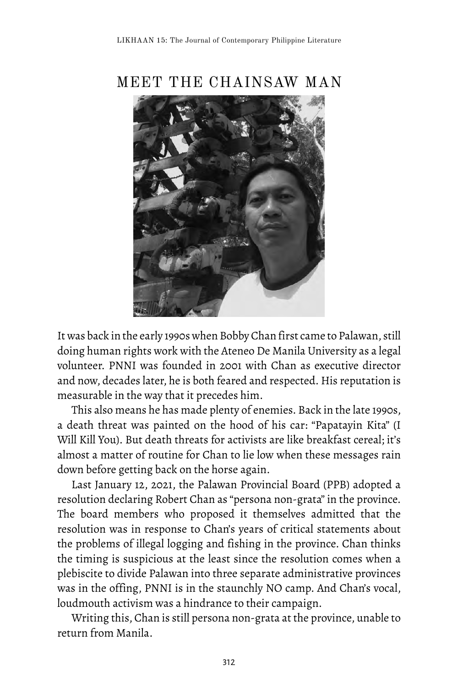

MEET THE CHAINSAW MAN

It was back in the early 1990s when Bobby Chan first came to Palawan, still doing human rights work with the Ateneo De Manila University as a legal volunteer. PNNI was founded in 2001 with Chan as executive director and now, decades later, he is both feared and respected. His reputation is measurable in the way that it precedes him.

This also means he has made plenty of enemies. Back in the late 1990s, a death threat was painted on the hood of his car: "Papatayin Kita" (I Will Kill You). But death threats for activists are like breakfast cereal; it's almost a matter of routine for Chan to lie low when these messages rain down before getting back on the horse again.

Last January 12, 2021, the Palawan Provincial Board (PPB) adopted a resolution declaring Robert Chan as "persona non-grata" in the province. The board members who proposed it themselves admitted that the resolution was in response to Chan's years of critical statements about the problems of illegal logging and fishing in the province. Chan thinks the timing is suspicious at the least since the resolution comes when a plebiscite to divide Palawan into three separate administrative provinces was in the offing, PNNI is in the staunchly NO camp. And Chan's vocal, loudmouth activism was a hindrance to their campaign.

Writing this, Chan is still persona non-grata at the province, unable to return from Manila.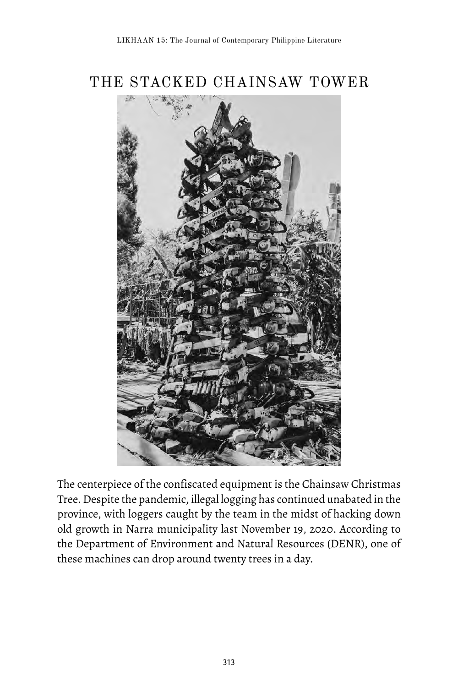## THE STACKED CHAINSAW TOWER



The centerpiece of the confiscated equipment is the Chainsaw Christmas Tree. Despite the pandemic, illegal logging has continued unabated in the province, with loggers caught by the team in the midst of hacking down old growth in Narra municipality last November 19, 2020. According to the Department of Environment and Natural Resources (DENR), one of these machines can drop around twenty trees in a day.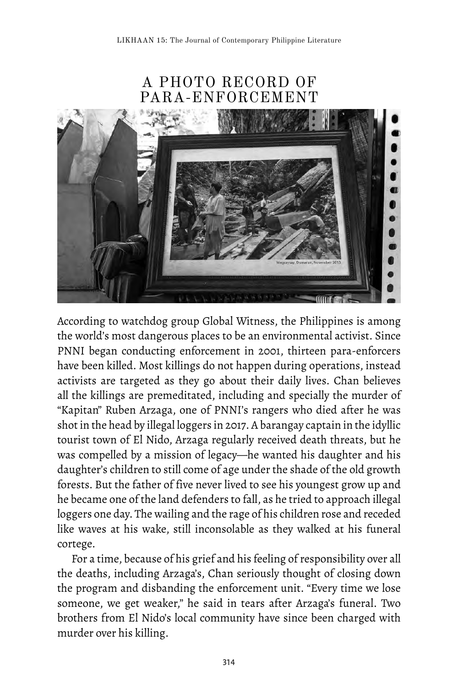### A PHOTO RECORD OF PARA-ENFORCEMENT



According to watchdog group Global Witness, the Philippines is among the world's most dangerous places to be an environmental activist. Since PNNI began conducting enforcement in 2001, thirteen para-enforcers have been killed. Most killings do not happen during operations, instead activists are targeted as they go about their daily lives. Chan believes all the killings are premeditated, including and specially the murder of "Kapitan" Ruben Arzaga, one of PNNI's rangers who died after he was shot in the head by illegal loggers in 2017. A barangay captain in the idyllic tourist town of El Nido, Arzaga regularly received death threats, but he was compelled by a mission of legacy—he wanted his daughter and his daughter's children to still come of age under the shade of the old growth forests. But the father of five never lived to see his youngest grow up and he became one of the land defenders to fall, as he tried to approach illegal loggers one day. The wailing and the rage of his children rose and receded like waves at his wake, still inconsolable as they walked at his funeral cortege.

For a time, because of his grief and his feeling of responsibility over all the deaths, including Arzaga's, Chan seriously thought of closing down the program and disbanding the enforcement unit. "Every time we lose someone, we get weaker," he said in tears after Arzaga's funeral. Two brothers from El Nido's local community have since been charged with murder over his killing.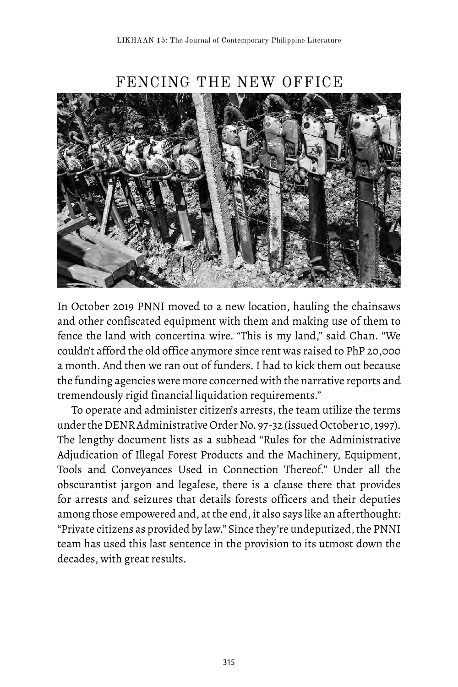

FENCING THE NEW OFFICE

In October 2019 PNNI moved to a new location, hauling the chainsaws and other confiscated equipment with them and making use of them to fence the land with concertina wire. "This is my land," said Chan. "We couldn't afford the old office anymore since rent was raised to PhP 20,000 a month. And then we ran out of funders. I had to kick them out because the funding agencies were more concerned with the narrative reports and tremendously rigid financial liquidation requirements."

To operate and administer citizen's arrests, the team utilize the terms under the DENR Administrative Order No. 97-32 (issued October 10, 1997). The lengthy document lists as a subhead "Rules for the Administrative Adjudication of Illegal Forest Products and the Machinery, Equipment, Tools and Conveyances Used in Connection Thereof." Under all the obscurantist jargon and legalese, there is a clause there that provides for arrests and seizures that details forests officers and their deputies among those empowered and, at the end, it also says like an afterthought: "Private citizens as provided by law." Since they're undeputized, the PNNI team has used this last sentence in the provision to its utmost down the decades, with great results.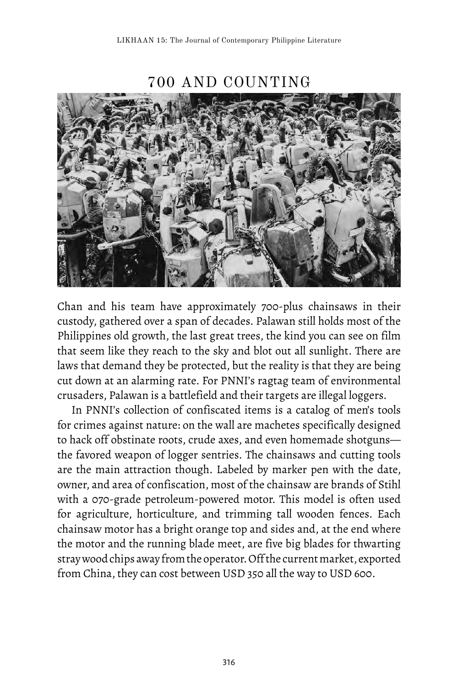700 AND COUNTING

Chan and his team have approximately 700-plus chainsaws in their custody, gathered over a span of decades. Palawan still holds most of the Philippines old growth, the last great trees, the kind you can see on film that seem like they reach to the sky and blot out all sunlight. There are laws that demand they be protected, but the reality is that they are being cut down at an alarming rate. For PNNI's ragtag team of environmental crusaders, Palawan is a battlefield and their targets are illegal loggers.

In PNNI's collection of confiscated items is a catalog of men's tools for crimes against nature: on the wall are machetes specifically designed to hack off obstinate roots, crude axes, and even homemade shotguns the favored weapon of logger sentries. The chainsaws and cutting tools are the main attraction though. Labeled by marker pen with the date, owner, and area of confiscation, most of the chainsaw are brands of Stihl with a 070-grade petroleum-powered motor. This model is often used for agriculture, horticulture, and trimming tall wooden fences. Each chainsaw motor has a bright orange top and sides and, at the end where the motor and the running blade meet, are five big blades for thwarting stray wood chips away from the operator. Off the current market, exported from China, they can cost between USD 350 all the way to USD 600.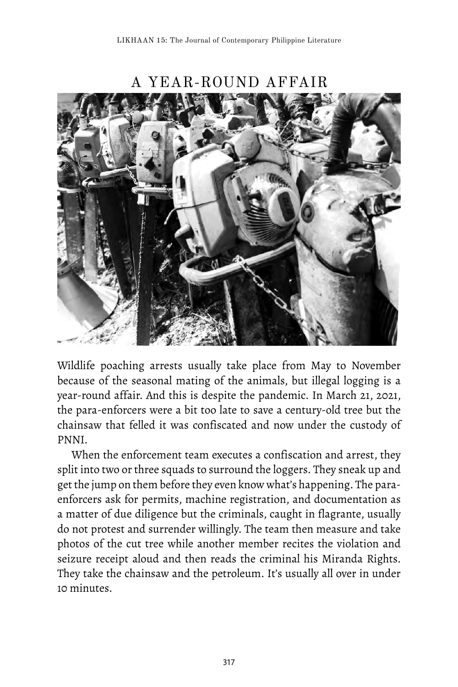

A YEAR-ROUND AFFAIR

Wildlife poaching arrests usually take place from May to November because of the seasonal mating of the animals, but illegal logging is a year-round affair. And this is despite the pandemic. In March 21, 2021, the para-enforcers were a bit too late to save a century-old tree but the chainsaw that felled it was confiscated and now under the custody of PNNI.

When the enforcement team executes a confiscation and arrest, they split into two or three squads to surround the loggers. They sneak up and get the jump on them before they even know what's happening. The paraenforcers ask for permits, machine registration, and documentation as a matter of due diligence but the criminals, caught in flagrante, usually do not protest and surrender willingly. The team then measure and take photos of the cut tree while another member recites the violation and seizure receipt aloud and then reads the criminal his Miranda Rights. They take the chainsaw and the petroleum. It's usually all over in under 10 minutes.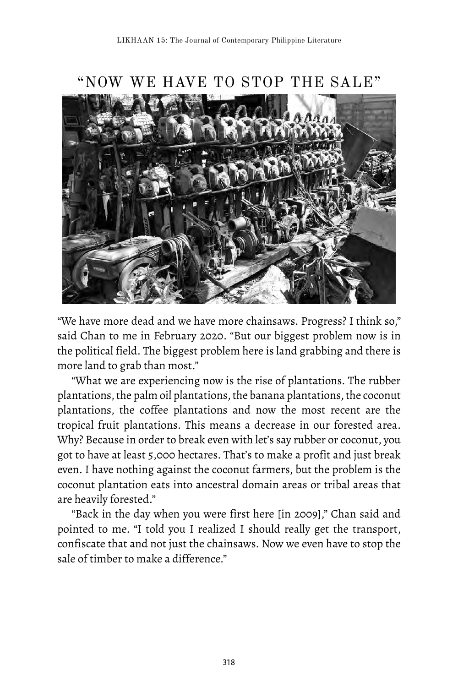

"NOW WE HAVE TO STOP THE SALE"

"We have more dead and we have more chainsaws. Progress? I think so," said Chan to me in February 2020. "But our biggest problem now is in the political field. The biggest problem here is land grabbing and there is more land to grab than most."

"What we are experiencing now is the rise of plantations. The rubber plantations, the palm oil plantations, the banana plantations, the coconut plantations, the coffee plantations and now the most recent are the tropical fruit plantations. This means a decrease in our forested area. Why? Because in order to break even with let's say rubber or coconut, you got to have at least 5,000 hectares. That's to make a profit and just break even. I have nothing against the coconut farmers, but the problem is the coconut plantation eats into ancestral domain areas or tribal areas that are heavily forested."

"Back in the day when you were first here [in 2009]," Chan said and pointed to me. "I told you I realized I should really get the transport, confiscate that and not just the chainsaws. Now we even have to stop the sale of timber to make a difference."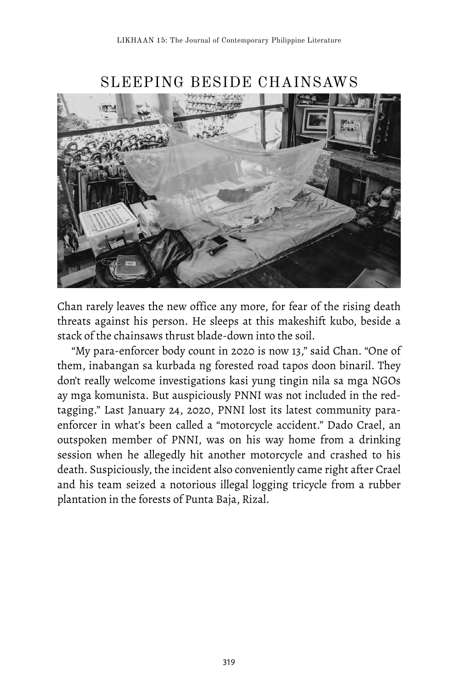

SLEEPING BESIDE CHAINSAWS

Chan rarely leaves the new office any more, for fear of the rising death threats against his person. He sleeps at this makeshift kubo, beside a stack of the chainsaws thrust blade-down into the soil.

"My para-enforcer body count in 2020 is now 13," said Chan. "One of them, inabangan sa kurbada ng forested road tapos doon binaril. They don't really welcome investigations kasi yung tingin nila sa mga NGOs ay mga komunista. But auspiciously PNNI was not included in the redtagging." Last January 24, 2020, PNNI lost its latest community paraenforcer in what's been called a "motorcycle accident." Dado Crael, an outspoken member of PNNI, was on his way home from a drinking session when he allegedly hit another motorcycle and crashed to his death. Suspiciously, the incident also conveniently came right after Crael and his team seized a notorious illegal logging tricycle from a rubber plantation in the forests of Punta Baja, Rizal.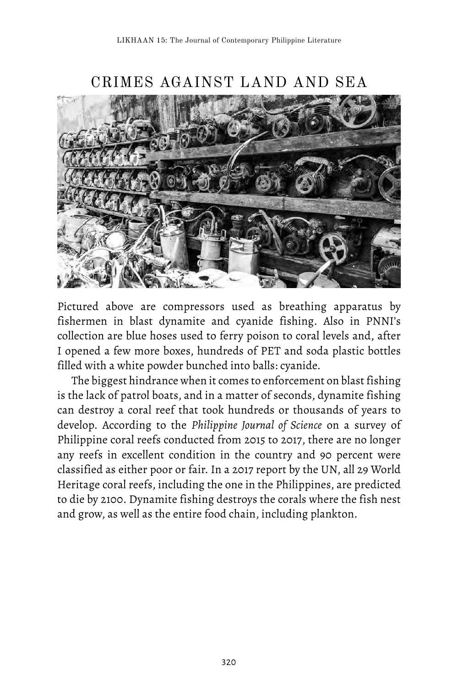

CRIMES AGAINST LAND AND SEA

Pictured above are compressors used as breathing apparatus by fishermen in blast dynamite and cyanide fishing. Also in PNNI's collection are blue hoses used to ferry poison to coral levels and, after I opened a few more boxes, hundreds of PET and soda plastic bottles filled with a white powder bunched into balls: cyanide.

The biggest hindrance when it comes to enforcement on blast fishing is the lack of patrol boats, and in a matter of seconds, dynamite fishing can destroy a coral reef that took hundreds or thousands of years to develop. According to the *Philippine Journal of Science* on a survey of Philippine coral reefs conducted from 2015 to 2017, there are no longer any reefs in excellent condition in the country and 90 percent were classified as either poor or fair. In a 2017 report by the UN, all 29 World Heritage coral reefs, including the one in the Philippines, are predicted to die by 2100. Dynamite fishing destroys the corals where the fish nest and grow, as well as the entire food chain, including plankton.